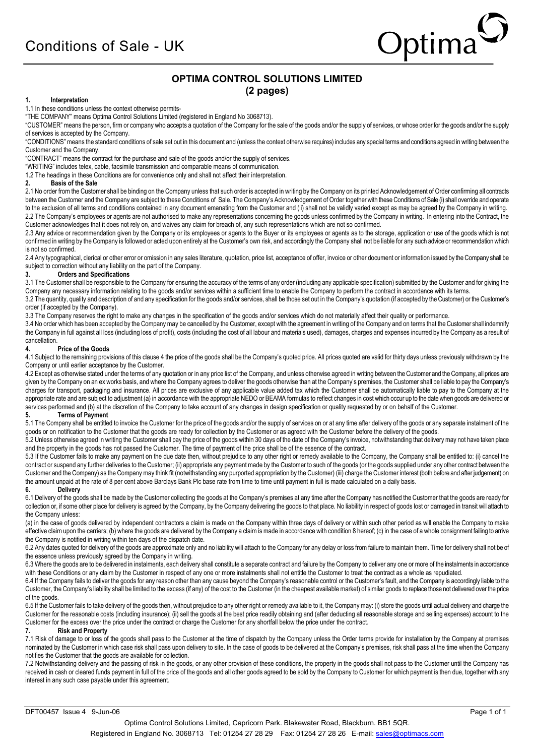

# **OPTIMA CONTROL SOLUTIONS LIMITED (2 pages)**

#### **1. Interpretation**

1.1 In these conditions unless the context otherwise permits-

ìTHE COMPANYî means Optima Control Solutions Limited (registered in England No 3068713).

ìCUSTOMERî means the person, firm or company who accepts a quotation of the Company for the sale of the goods and/or the supply of services, or whose order for the goods and/or the supply of services is accepted by the Company.

ìCONDITIONSî means the standard conditions of sale set out in this document and (unless the context otherwise requires) includes any special terms and conditions agreed in writing between the Customer and the Company.

ìCONTRACTî means the contract for the purchase and sale of the goods and/or the supply of services.

ìWRITINGî includes telex, cable, facsimile transmission and comparable means of communication.

1.2 The headings in these Conditions are for convenience only and shall not affect their interpretation.

#### **2. Basis of the Sale**

2.1 No order from the Customer shall be binding on the Company unless that such order is accepted in writing by the Company on its printed Acknowledgement of Order confirming all contracts between the Customer and the Company are subject to these Conditions of Sale. The Company's Acknowledgement of Order together with these Conditions of Sale (i) shall override and operate to the exclusion of all terms and conditions contained in any document emanating from the Customer and (ii) shall not be validly varied except as may be agreed by the Company in writing. 2.2 The Companyís employees or agents are not authorised to make any representations concerning the goods unless confirmed by the Company in writing. In entering into the Contract, the Customer acknowledges that it does not rely on, and waives any claim for breach of, any such representations which are not so confirmed.

2.3 Any advice or recommendation given by the Company or its employees or agents to the Buyer or its employees or agents as to the storage, application or use of the goods which is not confirmed in writing by the Company is followed or acted upon entirely at the Customer's own risk, and accordingly the Company shall not be liable for any such advice or recommendation which is not so confirmed.

2.4 Any typographical, clerical or other error or omission in any sales literature, quotation, price list, acceptance of offer, invoice or other document or information issued by the Company shall be subject to correction without any liability on the part of the Company.

### **3. Orders and Specifications**

3.1 The Customer shall be responsible to the Company for ensuring the accuracy of the terms of any order (including any applicable specification) submitted by the Customer and for giving the Company any necessary information relating to the goods and/or services within a sufficient time to enable the Company to perform the contract in accordance with its terms.

3.2 The quantity, quality and description of and any specification for the goods and/or services, shall be those set out in the Company's quotation (if accepted by the Customer) or the Customer's order (if accepted by the Company).

3.3 The Company reserves the right to make any changes in the specification of the goods and/or services which do not materially affect their quality or performance.

3.4 No order which has been accepted by the Company may be cancelled by the Customer, except with the agreement in writing of the Company and on terms that the Customer shall indemnify the Company in full against all loss (including loss of profit), costs (including the cost of all labour and materials used), damages, charges and expenses incurred by the Company as a result of cancellation.

### **4. Price of the Goods**

4.1 Subject to the remaining provisions of this clause 4 the price of the goods shall be the Companyís quoted price. All prices quoted are valid for thirty days unless previously withdrawn by the Company or until earlier acceptance by the Customer.

4.2 Except as otherwise stated under the terms of any quotation or in any price list of the Company, and unless otherwise agreed in writing between the Customer and the Company, all prices are given by the Company on an ex works basis, and where the Company agrees to deliver the goods otherwise than at the Company's premises, the Customer shall be liable to pay the Company's charges for transport, packaging and insurance. All prices are exclusive of any applicable value added tax which the Customer shall be automatically liable to pay to the Company at the appropriate rate and are subject to adjustment (a) in accordance with the appropriate NEDO or BEAMA formulas to reflect changes in cost which occur up to the date when goods are delivered or services performed and (b) at the discretion of the Company to take account of any changes in design specification or quality requested by or on behalf of the Customer.

#### **5. Terms of Payment**

5.1 The Company shall be entitled to invoice the Customer for the price of the goods and/or the supply of services on or at any time after delivery of the goods or any separate instalment of the goods or on notification to the Customer that the goods are ready for collection by the Customer or as agreed with the Customer before the delivery of the goods.

5.2 Unless otherwise agreed in writing the Customer shall pay the price of the goods within 30 days of the date of the Companyís invoice, notwithstanding that delivery may not have taken place and the property in the goods has not passed the Customer. The time of payment of the price shall be of the essence of the contract.

5.3 If the Customer fails to make any payment on the due date then, without prejudice to any other right or remedy available to the Company, the Company shall be entitled to: (i) cancel the contract or suspend any further deliveries to the Customer; (ii) appropriate any payment made by the Customer to such of the goods (or the goods supplied under any other contract between the Customer and the Company) as the Company may think fit (notwithstanding any purported appropriation by the Customer) (iii) charge the Customer interest (both before and after judgement) on the amount unpaid at the rate of 8 per cent above Barclays Bank Plc base rate from time to time until payment in full is made calculated on a daily basis.

#### **6. Delivery**

6.1 Delivery of the goods shall be made by the Customer collecting the goods at the Company's premises at any time after the Company has notified the Customer that the goods are ready for collection or, if some other place for delivery is agreed by the Company, by the Company delivering the goods to that place. No liability in respect of goods lost or damaged in transit will attach to the Company unless:

(a) in the case of goods delivered by independent contractors a claim is made on the Company within three days of delivery or within such other period as will enable the Company to make effective claim upon the carriers; (b) where the goods are delivered by the Company a claim is made in accordance with condition 8 hereof; (c) in the case of a whole consignment failing to arrive the Company is notified in writing within ten days of the dispatch date.

6.2 Any dates quoted for delivery of the goods are approximate only and no liability will attach to the Company for any delay or loss from failure to maintain them. Time for delivery shall not be of the essence unless previously agreed by the Company in writing.

6.3 Where the goods are to be delivered in instalments, each delivery shall constitute a separate contract and failure by the Company to deliver any one or more of the instalments in accordance with these Conditions or any claim by the Customer in respect of any one or more instalments shall not entitle the Customer to treat the contract as a whole as repudiated.

6.4 If the Company fails to deliver the goods for any reason other than any cause beyond the Company's reasonable control or the Customer's fault, and the Company is accordingly liable to the Customer, the Companyís liability shall be limited to the excess (if any) of the cost to the Customer (in the cheapest available market) of similar goods to replace those not delivered over the price of the goods.

6.5 If the Customer fails to take delivery of the goods then, without prejudice to any other right or remedy available to it, the Company may: (i) store the goods until actual delivery and charge the Customer for the reasonable costs (including insurance); (ii) sell the goods at the best price readily obtaining and (after deducting all reasonable storage and selling expenses) account to the Customer for the excess over the price under the contract or charge the Customer for any shortfall below the price under the contract.

#### **7. Risk and Property**

7.1 Risk of damage to or loss of the goods shall pass to the Customer at the time of dispatch by the Company unless the Order terms provide for installation by the Company at premises nominated by the Customer in which case risk shall pass upon delivery to site. In the case of goods to be delivered at the Company's premises, risk shall pass at the time when the Company notifies the Customer that the goods are available for collection.

7.2 Notwithstanding delivery and the passing of risk in the goods, or any other provision of these conditions, the property in the goods shall not pass to the Customer until the Company has received in cash or cleared funds payment in full of the price of the goods and all other goods agreed to be sold by the Company to Customer for which payment is then due, together with any interest in any such case payable under this agreement.